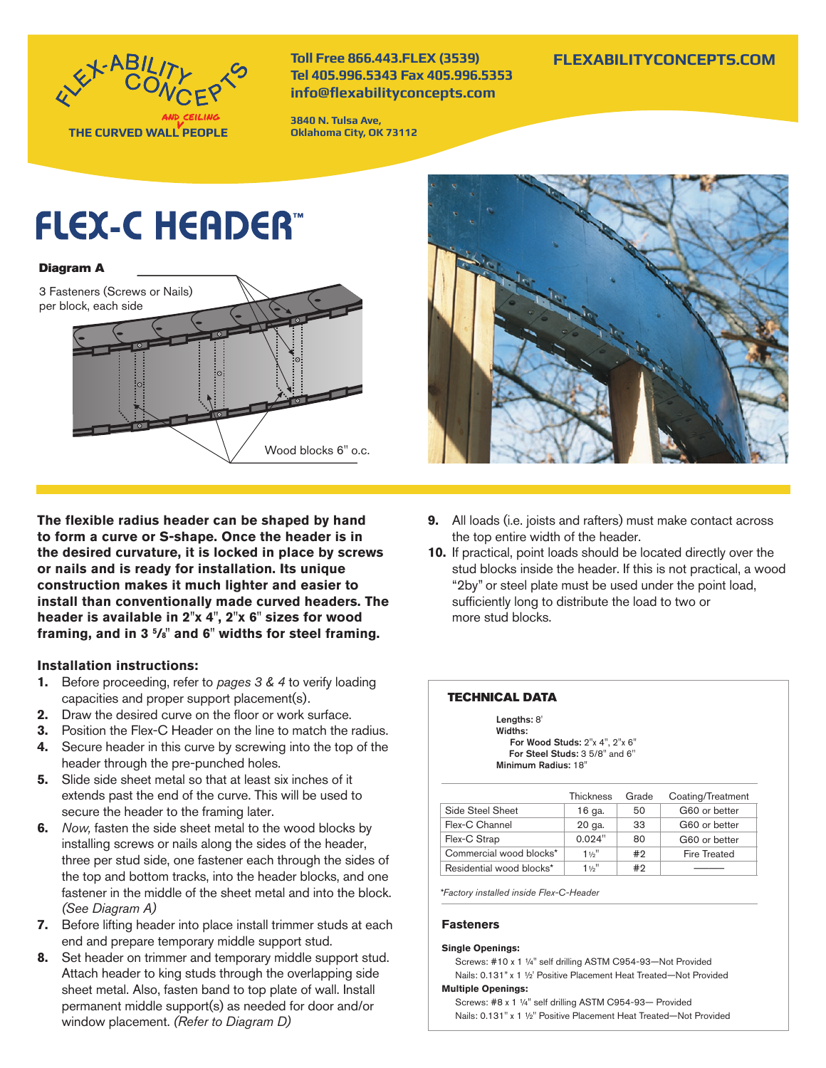

**Toll Free 866.443.FLEX (3539) Tel 405.996.5343 Fax 405.996.5353 info@flexabilityconcepts.com**

**3840 N. Tulsa Ave, Oklahoma City, OK 73112**

## **FLEXABILITYCONCEPTS.COM**

# **FLEX-C HEADER**

#### Diagram A



**The flexible radius header can be shaped by hand to form a curve or S-shape. Once the header is in the desired curvature, it is locked in place by screws or nails and is ready for installation. Its unique construction makes it much lighter and easier to install than conventionally made curved headers. The header is available in 2''x 4'', 2''x 6'' sizes for wood framing, and in 3 5 /8'' and 6'' widths for steel framing.**

#### **Installation instructions:**

- **1.** Before proceeding, refer to *pages 3 & 4* to verify loading capacities and proper support placement(s).
- **2.** Draw the desired curve on the floor or work surface.
- **3.** Position the Flex-C Header on the line to match the radius.
- **4.** Secure header in this curve by screwing into the top of the header through the pre-punched holes.
- **5.** Slide side sheet metal so that at least six inches of it extends past the end of the curve. This will be used to secure the header to the framing later.
- **6.** *Now,* fasten the side sheet metal to the wood blocks by installing screws or nails along the sides of the header, three per stud side, one fastener each through the sides of the top and bottom tracks, into the header blocks, and one fastener in the middle of the sheet metal and into the block. *(See Diagram A)*
- **7.** Before lifting header into place install trimmer studs at each end and prepare temporary middle support stud.
- **8.** Set header on trimmer and temporary middle support stud. Attach header to king studs through the overlapping side sheet metal. Also, fasten band to top plate of wall. Install permanent middle support(s) as needed for door and/or window placement. *(Refer to Diagram D)*



- **9.** All loads (i.e. joists and rafters) must make contact across the top entire width of the header.
- **10.** If practical, point loads should be located directly over the stud blocks inside the header. If this is not practical, a wood "2by" or steel plate must be used under the point load, sufficiently long to distribute the load to two or more stud blocks.

#### TECHNICAL DATA

Lengths: 8' Widths: For Wood Studs: 2"x 4", 2"x 6" For Steel Studs: 3 5/8'' and 6'' Minimum Radius: 18''

|  |                          | <b>Thickness</b> | Grade | Coating/Treatment   |
|--|--------------------------|------------------|-------|---------------------|
|  | Side Steel Sheet         | 16 ga.           | 50    | G60 or better       |
|  | Flex-C Channel           | 20 ga.           | 33    | G60 or better       |
|  | Flex-C Strap             | 0.024"           | 80    | G60 or better       |
|  | Commercial wood blocks*  | $1\frac{1}{2}$   | #2    | <b>Fire Treated</b> |
|  | Residential wood blocks* | 11/2             | #2    |                     |

*\*Factory installed inside Flex-C-Header*

#### **Fasteners**

#### **Single Openings:**

Screws: #10 x 1 ¼'' self drilling ASTM C954-93—Not Provided Nails: 0.131" x 1 ½' Positive Placement Heat Treated—Not Provided **Multiple Openings:** 

Screws: #8 x 1 ¼'' self drilling ASTM C954-93— Provided Nails: 0.131'' x 1 ½'' Positive Placement Heat Treated—Not Provided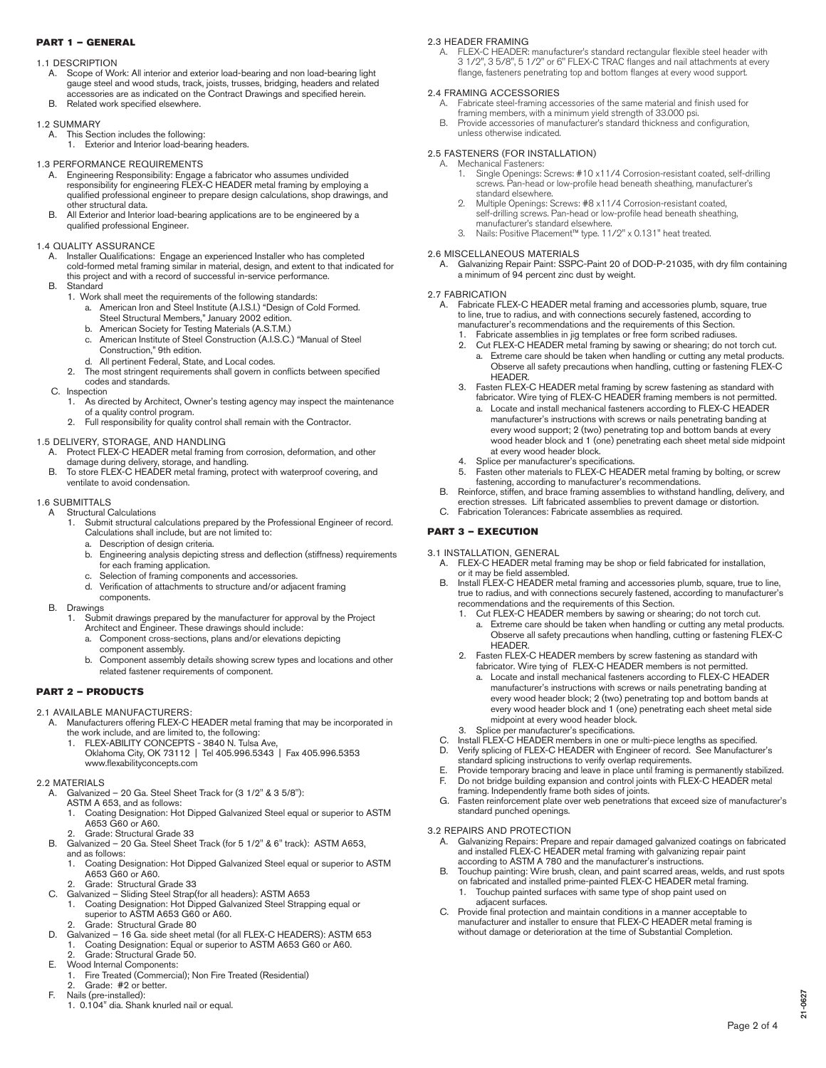#### PART 1 – GENERAL

#### 1.1 DESCRIPTION

- A. Scope of Work: All interior and exterior load-bearing and non load-bearing light gauge steel and wood studs, track, joists, trusses, bridging, headers and related accessories are as indicated on the Contract Drawings and specified herein.
- Related work specified elsewhere.

#### 1.2 SUMMARY

- This Section includes the following:
	- 1. Exterior and Interior load-bearing headers.

#### 1.3 PERFORMANCE REQUIREMENTS

- A. Engineering Responsibility: Engage a fabricator who assumes undivided responsibility for engineering FLEX-C HEADER metal framing by employing a qualified professional engineer to prepare design calculations, shop drawings, and other structural data.
- B. All Exterior and Interior load-bearing applications are to be engineered by a qualified professional Engineer.

#### 1.4 QUALITY ASSURANCE

- A. Installer Qualifications: Engage an experienced Installer who has completed cold-formed metal framing similar in material, design, and extent to that indicated for this project and with a record of successful in-service performance.
- B. Standard
	- 1. Work shall meet the requirements of the following standards:
		- a. American Iron and Steel Institute (A.I.S.I.) "Design of Cold Formed. Steel Structural Members," January 2002 edition.
		- b. American Society for Testing Materials (A.S.T.M.)
		- c. American Institute of Steel Construction (A.I.S.C.) "Manual of Steel Construction," 9th edition.
		- d. All pertinent Federal, State, and Local codes.
	- 2. The most stringent requirements shall govern in conflicts between specified codes and standards.
- C. Inspection
	- 1. As directed by Architect, Owner's testing agency may inspect the maintenance of a quality control program.
	- 2. Full responsibility for quality control shall remain with the Contractor.

#### 1.5 DELIVERY, STORAGE, AND HANDLING

- Protect FLEX-C HEADER metal framing from corrosion, deformation, and other damage during delivery, storage, and handling. B. To store FLEX-C HEADER metal framing, protect with waterproof covering, and
- ventilate to avoid condensation.

#### 1.6 SUBMITTALS

- A Structural Calculations
	- 1. Submit structural calculations prepared by the Professional Engineer of record. Calculations shall include, but are not limited to:
		- a. Description of design criteria.
		- b. Engineering analysis depicting stress and deflection (stiffness) requirements for each framing application.
		- Selection of framing components and accessories.
		- d. Verification of attachments to structure and/or adjacent framing components.
- B. Drawings
	- 1. Submit drawings prepared by the manufacturer for approval by the Project Architect and Engineer. These drawings should include:
		- a. Component cross-sections, plans and/or elevations depicting component assembly.
		- b. Component assembly details showing screw types and locations and other related fastener requirements of component.

#### PART 2 – PRODUCTS

#### 2.1 AVAILABLE MANUFACTURERS:

- A. Manufacturers offering FLEX-C HEADER metal framing that may be incorporated in the work include, and are limited to, the following:
	- 1. FLEX-ABILITY CONCEPTS 3840 N. Tulsa Ave, Oklahoma City, OK 73112 | Tel 405.996.5343 | Fax 405.996.5353 www.flexabilityconcepts.com

#### 2.2 MATERIALS

- Galvanized 20 Ga. Steel Sheet Track for (3 1/2" & 3 5/8"):
	- ASTM A 653, and as follows<br>1. Coating Designation: Ho
	- 1. Coating Designation: Hot Dipped Galvanized Steel equal or superior to ASTM A653 G60 or A60.
- 2. Grade: Structural Grade 33 B. Galvanized – 20 Ga. Steel Sheet Track (for 5 1/2'' & 6'' track): ASTM A653,
- and as follows:
- 1. Coating Designation: Hot Dipped Galvanized Steel equal or superior to ASTM A653 G60 or A60.
- 2. Grade: Structural Grade 33
- C. Galvanized Sliding Steel Strap(for all headers): ASTM A653 1. Coating Designation: Hot Dipped Galvanized Steel Strapping equal or
	- superior to ASTM A653 G60 or A60.
		- 2. Grade: Structural Grade 80
- D. Galvanized 16 Ga. side sheet metal (for all FLEX-C HEADERS): ASTM 653 1. Coating Designation: Equal or superior to ASTM A653 G60 or A60.
- 2. Grade: Structural Grade 50.
- E. Wood Internal Components: 1. Fire Treated (Commercial); Non Fire Treated (Residential)
- 2. Grade: #2 or better.
- F. Nails (pre-installed):
	- 1. 0.104'' dia. Shank knurled nail or equal.

#### 2.3 HEADER FRAMING

A. FLEX-C HEADER: manufacturer's standard rectangular flexible steel header with 3 1/2'', 3 5/8'', 5 1/2'' or 6'' FLEX-C TRAC flanges and nail attachments at every flange, fasteners penetrating top and bottom flanges at every wood support.

## 2.4 FRAMING ACCESSORIES

- A. Fabricate steel-framing accessories of the same material and finish used for framing members, with a minimum yield strength of 33.000 psi.
- B. Provide accessories of manufacturer's standard thickness and configuration, unless otherwise indicated.

#### 2.5 FASTENERS (FOR INSTALLATION)

- Mechanical Fasteners:
	- Single Openings: Screws: #10 x11/4 Corrosion-resistant coated, self-drilling screws. Pan-head or low-profile head beneath sheathing, manufacturer's standard elsewhere.<br>2. Multiple Openings: S
	- 2. Multiple Openings: Screws: #8 x11/4 Corrosion-resistant coated, self-drilling screws. Pan-head or low-profile head beneath sheathing, manufacturer's standard elsewhere.
	- 3. Nails: Positive Placement™ type. 11/2'' x 0.131'' heat treated.

#### 2.6 MISCELLANEOUS MATERIALS

A. Galvanizing Repair Paint: SSPC-Paint 20 of DOD-P-21035, with dry film containing a minimum of 94 percent zinc dust by weight.

#### 2.7 FABRICATION

- A. Fabricate FLEX-C HEADER metal framing and accessories plumb, square, true to line, true to radius, and with connections securely fastened, according to manufacturer's recommendations and the requirements of this Section.
	- 1. Fabricate assemblies in jig templates or free form scribed radiuses.<br>2. Cut FLEX-C HEADER metal framing by sawing or shearing: do not Cut FLEX-C HEADER metal framing by sawing or shearing; do not torch cut.
		- a. Extreme care should be taken when handling or cutting any metal products. Observe all safety precautions when handling, cutting or fastening FLEX-C HEADER.
	- 3. Fasten FLEX-C HEADER metal framing by screw fastening as standard with fabricator. Wire tying of FLEX-C HEADER framing members is not permitted.
		- Locate and install mechanical fasteners according to FLEX-C HEADER manufacturer's instructions with screws or nails penetrating banding at every wood support; 2 (two) penetrating top and bottom bands at every wood header block and 1 (one) penetrating each sheet metal side midpoint at every wood header block.
	-
	- 4. Splice per manufacturer's specifications<br>5. Fasten other materials to FLEX-C HEAD Fasten other materials to FLEX-C HEADER metal framing by bolting, or screw
- fastening, according to manufacturer's recommendations. B. Reinforce, stiffen, and brace framing assemblies to withstand handling, delivery, and erection stresses. Lift fabricated assemblies to prevent damage or distortion. C. Fabrication Tolerances: Fabricate assemblies as required.

#### PART 3 – EXECUTION

#### 3.1 INSTALLATION, GENERAL

- A. FLEX-C HEADER metal framing may be shop or field fabricated for installation, or it may be field assembled.
- B. Install FLEX-C HEADER metal framing and accessories plumb, square, true to line, true to radius, and with connections securely fastened, according to manufacturer's recommendations and the requirements of this Section.
	- 1. Cut FLEX-C HEADER members by sawing or shearing; do not torch cut. a. Extreme care should be taken when handling or cutting any metal products. Observe all safety precautions when handling, cutting or fastening FLEX-C HEADER.
	- 2. Fasten FLEX-C HEADER members by screw fastening as standard with fabricator. Wire tying of FLEX-C HEADER members is not permitted.
		- a. Locate and install mechanical fasteners according to FLEX-C HEADER manufacturer's instructions with screws or nails penetrating banding at every wood header block; 2 (two) penetrating top and bottom bands at every wood header block and 1 (one) penetrating each sheet metal side midpoint at every wood header block.
- 3. Splice per manufacturer's specifications.
- C. Install FLEX-C HEADER members in one or multi-piece lengths as specified.<br>D. Verify splicing of FLEX-C HEADER with Engineer of record. See Manufactur Verify splicing of FLEX-C HEADER with Engineer of record. See Manufacturer's
- standard splicing instructions to verify overlap requirements.
- E. Provide temporary bracing and leave in place until framing is permanently stabilized. F. Do not bridge building expansion and control joints with FLEX-C HEADER metal framing. Independently frame both sides of joints.
- 
- G. Fasten reinforcement plate over web penetrations that exceed size of manufacturer's standard punched openings.

#### 3.2 REPAIRS AND PROTECTION

- A. Galvanizing Repairs: Prepare and repair damaged galvanized coatings on fabricated and installed FLEX-C HEADER metal framing with galvanizing repair paint according to ASTM A 780 and the manufacturer's instructions.
- Touchup painting: Wire brush, clean, and paint scarred areas, welds, and rust spots on fabricated and installed prime-painted FLEX-C HEADER metal framing. 1. Touchup painted surfaces with same type of shop paint used on adjacent surfaces.
- C. Provide final protection and maintain conditions in a manner acceptable to manufacturer and installer to ensure that FLEX-C HEADER metal framing is without damage or deterioration at the time of Substantial Completion.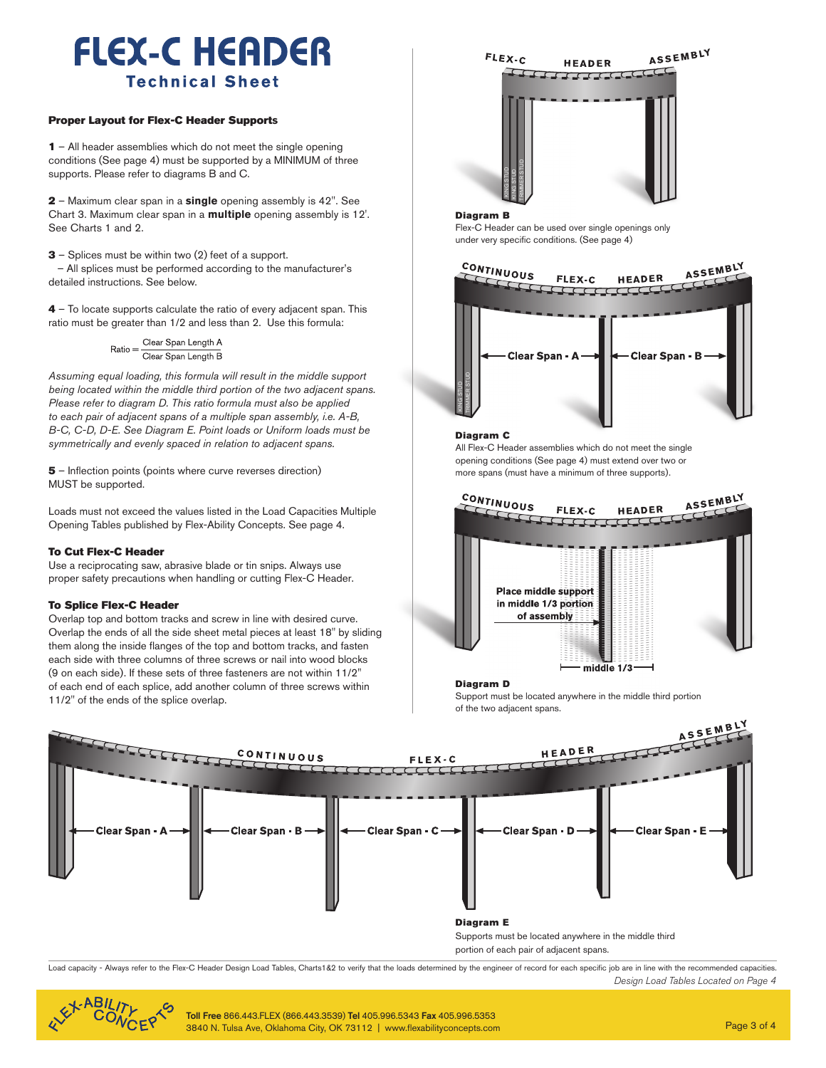## **FLEX-C HEADER Technical Sheet**

#### Proper Layout for Flex-C Header Support**s**

1 – All header assemblies which do not meet the single opening conditions (See page 4) must be supported by a MINIMUM of three supports. Please refer to diagrams B and C.

2 – Maximum clear span in a **single** opening assembly is 42''. See Chart 3. Maximum clear span in a **multiple** opening assembly is 12'. See Charts 1 and 2.

3 – Splices must be within two (2) feet of a support. – All splices must be performed according to the manufacturer's detailed instructions. See below.

4 – To locate supports calculate the ratio of every adjacent span. This ratio must be greater than 1/2 and less than 2. Use this formula:

 $Ratio = \frac{Clear \; Span \; Length \; A}{Clear \; Span \; Length \; B}$ 

*Assuming equal loading, this formula will result in the middle support being located within the middle third portion of the two adjacent spans. Please refer to diagram D. This ratio formula must also be applied to each pair of adjacent spans of a multiple span assembly, i.e. A-B, B-C, C-D, D-E. See Diagram E. Point loads or Uniform loads must be symmetrically and evenly spaced in relation to adjacent spans.*

5 – Inflection points (points where curve reverses direction) MUST be supported.

Loads must not exceed the values listed in the Load Capacities Multiple Opening Tables published by Flex-Ability Concepts. See page 4.

#### To Cut Flex-C Header

Use a reciprocating saw, abrasive blade or tin snips. Always use proper safety precautions when handling or cutting Flex-C Header.

#### To Splice Flex-C Header

Overlap top and bottom tracks and screw in line with desired curve. Overlap the ends of all the side sheet metal pieces at least 18'' by sliding them along the inside flanges of the top and bottom tracks, and fasten each side with three columns of three screws or nail into wood blocks (9 on each side). If these sets of three fasteners are not within 11/2'' of each end of each splice, add another column of three screws within 11/2'' of the ends of the splice overlap.



#### Diagram B

Flex-C Header can be used over single openings only under very specific conditions. (See page 4)



#### Diagram C

All Flex-C Header assemblies which do not meet the single opening conditions (See page 4) must extend over two or more spans (must have a minimum of three supports).



#### Diagram D

Support must be located anywhere in the middle third portion of the two adjacent spans.



Load capacity - Always refer to the Flex-C Header Design Load Tables, Charts1&2 to verify that the loads determined by the engineer of record for each specific job are in line with the recommended capacities. *Design Load Tables Located on Page 4*